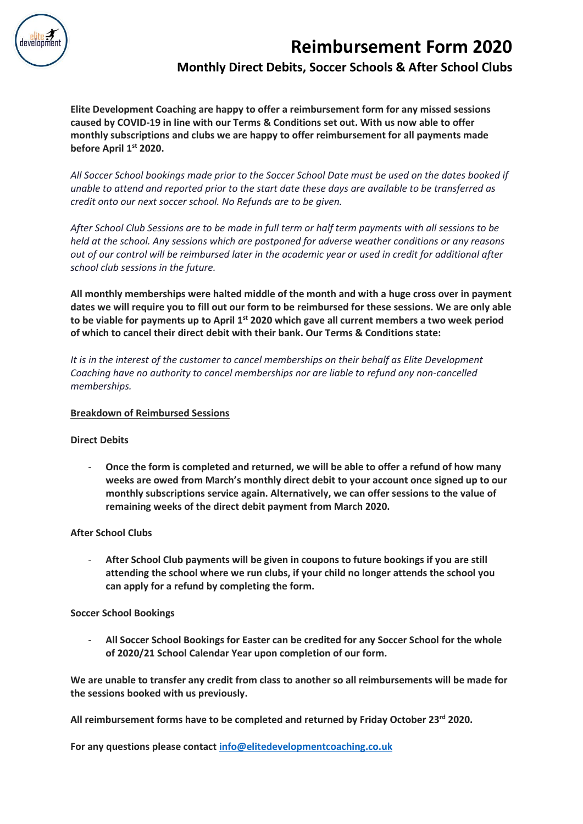

## **Reimbursement Form 2020 Monthly Direct Debits, Soccer Schools & After School Clubs**

**Elite Development Coaching are happy to offer a reimbursement form for any missed sessions caused by COVID-19 in line with our Terms & Conditions set out. With us now able to offer monthly subscriptions and clubs we are happy to offer reimbursement for all payments made before April 1 st 2020.**

All Soccer School bookings made prior to the Soccer School Date must be used on the dates booked if unable to attend and reported prior to the start date these days are available to be transferred as *credit onto our next soccer school. No Refunds are to be given.*

After School Club Sessions are to be made in full term or half term payments with all sessions to be *held at the school. Any sessions which are postponed for adverse weather conditions or any reasons* out of our control will be reimbursed later in the academic year or used in credit for additional after *school club sessions in the future.*

**All monthly memberships were halted middle of the month and with a huge cross over in payment dates we will require you to fill out our form to be reimbursed for these sessions. We are only able to be viable for payments up to April 1st 2020 which gave all current members a two week period of which to cancel their direct debit with their bank. Our Terms & Conditions state:**

*It is in the interest of the customer to cancel memberships on their behalf as Elite Development Coaching have no authority to cancel memberships nor are liable to refund any non-cancelled memberships.*

## **Breakdown of Reimbursed Sessions**

## **Direct Debits**

- **Once the form is completed and returned, we will be able to offer a refund of how many weeks are owed from March's monthly direct debit to your account once signed up to our monthly subscriptions service again. Alternatively, we can offer sessions to the value of remaining weeks of the direct debit payment from March 2020.**

## **After School Clubs**

- **After School Club payments will be given in coupons to future bookings if you are still attending the school where we run clubs, if your child no longer attends the school you can apply for a refund by completing the form.**

## **Soccer School Bookings**

- **All Soccer School Bookings for Easter can be credited for any Soccer School for the whole of 2020/21 School Calendar Year upon completion of our form.**

**We are unable to transfer any credit from class to another so all reimbursements will be made for the sessions booked with us previously.** 

**All reimbursement forms have to be completed and returned by Friday October 23rd 2020.**

**For any questions please contact [info@elitedevelopmentcoaching.co.uk](mailto:info@elitedevelopmentcoaching.co.uk)**